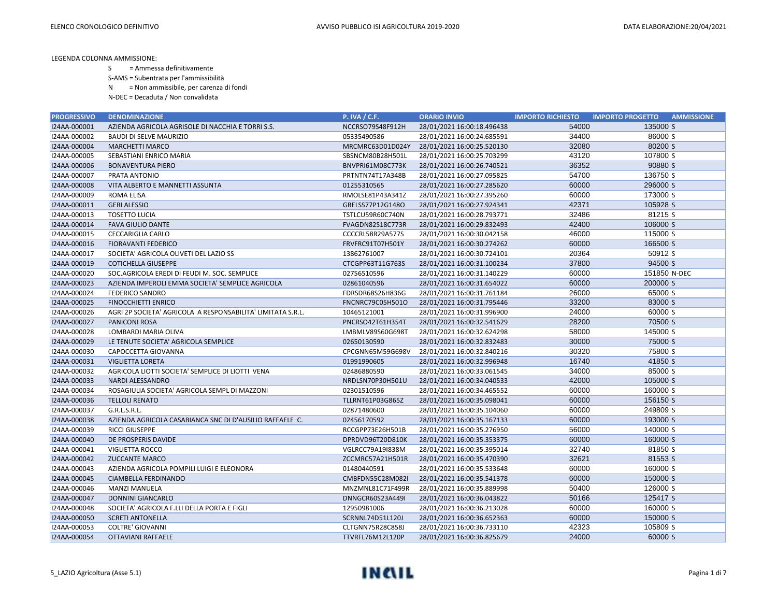S = Ammessa definitivamente

S-AMS = Subentrata per l'ammissibilità

N = Non ammissibile, per carenza di fondi

N-DEC = Decaduta / Non convalidata

| <b>PROGRESSIVO</b> | <b>DENOMINAZIONE</b>                                        | <b>P. IVA / C.F.</b> | <b>ORARIO INVIO</b>        | <b>IMPORTO RICHIESTO</b> | <b>IMPORTO PROGETTO</b><br><b>AMMISSIONE</b> |
|--------------------|-------------------------------------------------------------|----------------------|----------------------------|--------------------------|----------------------------------------------|
| I24AA-000001       | AZIENDA AGRICOLA AGRISOLE DI NACCHIA E TORRI S.S.           | NCCRSO79S48F912H     | 28/01/2021 16:00:18.496438 | 54000                    | 135000 S                                     |
| I24AA-000002       | <b>BAUDI DI SELVE MAURIZIO</b>                              | 05335490586          | 28/01/2021 16:00:24.685591 | 34400                    | 86000 S                                      |
| I24AA-000004       | <b>MARCHETTI MARCO</b>                                      | MRCMRC63D01D024Y     | 28/01/2021 16:00:25.520130 | 32080                    | 80200 S                                      |
| I24AA-000005       | SEBASTIANI ENRICO MARIA                                     | SBSNCM80B28H501L     | 28/01/2021 16:00:25.703299 | 43120                    | 107800 S                                     |
| I24AA-000006       | <b>BONAVENTURA PIERO</b>                                    | BNVPRI61M08C773K     | 28/01/2021 16:00:26.740521 | 36352                    | 90880 S                                      |
| I24AA-000007       | PRATA ANTONIO                                               | PRTNTN74T17A348B     | 28/01/2021 16:00:27.095825 | 54700                    | 136750 S                                     |
| I24AA-000008       | VITA ALBERTO E MANNETTI ASSUNTA                             | 01255310565          | 28/01/2021 16:00:27.285620 | 60000                    | 296000 S                                     |
| I24AA-000009       | <b>ROMA ELISA</b>                                           | RMOLSE81P43A341Z     | 28/01/2021 16:00:27.395260 | 60000                    | 173000 S                                     |
| I24AA-000011       | <b>GERI ALESSIO</b>                                         | GRELSS77P12G148O     | 28/01/2021 16:00:27.924341 | 42371                    | 105928 S                                     |
| I24AA-000013       | <b>TOSETTO LUCIA</b>                                        | TSTLCU59R60C740N     | 28/01/2021 16:00:28.793771 | 32486                    | 81215 S                                      |
| I24AA-000014       | <b>FAVA GIULIO DANTE</b>                                    | FVAGDN82S18C773R     | 28/01/2021 16:00:29.832493 | 42400                    | 106000 S                                     |
| I24AA-000015       | <b>CECCARIGLIA CARLO</b>                                    | CCCCRL58R29A577S     | 28/01/2021 16:00:30.042158 | 46000                    | 115000 S                                     |
| I24AA-000016       | <b>FIORAVANTI FEDERICO</b>                                  | FRVFRC91T07H501Y     | 28/01/2021 16:00:30.274262 | 60000                    | 166500 S                                     |
| I24AA-000017       | SOCIETA' AGRICOLA OLIVETI DEL LAZIO SS                      | 13862761007          | 28/01/2021 16:00:30.724101 | 20364                    | 50912 S                                      |
| I24AA-000019       | <b>COTICHELLA GIUSEPPE</b>                                  | CTCGPP63T11G763S     | 28/01/2021 16:00:31.100234 | 37800                    | 94500 S                                      |
| I24AA-000020       | SOC.AGRICOLA EREDI DI FEUDI M. SOC. SEMPLICE                | 02756510596          | 28/01/2021 16:00:31.140229 | 60000                    | 151850 N-DEC                                 |
| I24AA-000023       | AZIENDA IMPEROLI EMMA SOCIETA' SEMPLICE AGRICOLA            | 02861040596          | 28/01/2021 16:00:31.654022 | 60000                    | 200000 S                                     |
| I24AA-000024       | <b>FEDERICO SANDRO</b>                                      | FDRSDR68S26H836G     | 28/01/2021 16:00:31.761184 | 26000                    | 65000 S                                      |
| I24AA-000025       | <b>FINOCCHIETTI ENRICO</b>                                  | FNCNRC79C05H501O     | 28/01/2021 16:00:31.795446 | 33200                    | 83000 S                                      |
| I24AA-000026       | AGRI 2P SOCIETA' AGRICOLA A RESPONSABILITA' LIMITATA S.R.L. | 10465121001          | 28/01/2021 16:00:31.996900 | 24000                    | 60000 S                                      |
| I24AA-000027       | <b>PANICONI ROSA</b>                                        | PNCRSO42T61H354T     | 28/01/2021 16:00:32.541629 | 28200                    | 70500 S                                      |
| I24AA-000028       | LOMBARDI MARIA OLIVA                                        | LMBMLV89S60G698T     | 28/01/2021 16:00:32.624298 | 58000                    | 145000 S                                     |
| I24AA-000029       | LE TENUTE SOCIETA' AGRICOLA SEMPLICE                        | 02650130590          | 28/01/2021 16:00:32.832483 | 30000                    | 75000 S                                      |
| I24AA-000030       | CAPOCCETTA GIOVANNA                                         | CPCGNN65M59G698V     | 28/01/2021 16:00:32.840216 | 30320                    | 75800 S                                      |
| I24AA-000031       | VIGLIETTA LORETA                                            | 01991990605          | 28/01/2021 16:00:32.996948 | 16740                    | 41850 S                                      |
| I24AA-000032       | AGRICOLA LIOTTI SOCIETA' SEMPLICE DI LIOTTI VENA            | 02486880590          | 28/01/2021 16:00:33.061545 | 34000                    | 85000 S                                      |
| I24AA-000033       | <b>NARDI ALESSANDRO</b>                                     | NRDLSN70P30H501U     | 28/01/2021 16:00:34.040533 | 42000                    | 105000 S                                     |
| I24AA-000034       | ROSAGIULIA SOCIETA' AGRICOLA SEMPL DI MAZZONI               | 02301510596          | 28/01/2021 16:00:34.465552 | 60000                    | 160000 S                                     |
| I24AA-000036       | <b>TELLOLI RENATO</b>                                       | TLLRNT61P03G865Z     | 28/01/2021 16:00:35.098041 | 60000                    | 156150 S                                     |
| I24AA-000037       | G.R.L.S.R.L.                                                | 02871480600          | 28/01/2021 16:00:35.104060 | 60000                    | 249809 S                                     |
| I24AA-000038       | AZIENDA AGRICOLA CASABIANCA SNC DI D'AUSILIO RAFFAELE C.    | 02456170592          | 28/01/2021 16:00:35.167133 | 60000                    | 193000 S                                     |
| I24AA-000039       | <b>RICCI GIUSEPPE</b>                                       | RCCGPP73E26H501B     | 28/01/2021 16:00:35.276950 | 56000                    | 140000 S                                     |
| I24AA-000040       | DE PROSPERIS DAVIDE                                         | DPRDVD96T20D810K     | 28/01/2021 16:00:35.353375 | 60000                    | 160000 S                                     |
| I24AA-000041       | VIGLIETTA ROCCO                                             | VGLRCC79A19I838M     | 28/01/2021 16:00:35.395014 | 32740                    | 81850 S                                      |
| I24AA-000042       | <b>ZUCCANTE MARCO</b>                                       | ZCCMRC57A21H501R     | 28/01/2021 16:00:35.470390 | 32621                    | 81553 S                                      |
| I24AA-000043       | AZIENDA AGRICOLA POMPILI LUIGI E ELEONORA                   | 01480440591          | 28/01/2021 16:00:35.533648 | 60000                    | 160000 S                                     |
| I24AA-000045       | <b>CIAMBELLA FERDINANDO</b>                                 | CMBFDN55C28M082I     | 28/01/2021 16:00:35.541378 | 60000                    | 150000 S                                     |
| I24AA-000046       | <b>MANZI MANUELA</b>                                        | MNZMNL81C71F499R     | 28/01/2021 16:00:35.889998 | 50400                    | 126000 S                                     |
| I24AA-000047       | <b>DONNINI GIANCARLO</b>                                    | DNNGCR60S23A449I     | 28/01/2021 16:00:36.043822 | 50166                    | 125417 S                                     |
| I24AA-000048       | SOCIETA' AGRICOLA F.LLI DELLA PORTA E FIGLI                 | 12950981006          | 28/01/2021 16:00:36.213028 | 60000                    | 160000 S                                     |
| I24AA-000050       | <b>SCRETI ANTONELLA</b>                                     | SCRNNL74D51L120J     | 28/01/2021 16:00:36.652363 | 60000                    | 150000 S                                     |
| I24AA-000053       | <b>COLTRE' GIOVANNI</b>                                     | CLTGNN75R28C858J     | 28/01/2021 16:00:36.733110 | 42323                    | 105809 S                                     |
| I24AA-000054       | OTTAVIANI RAFFAELE                                          | TTVRFL76M12L120P     | 28/01/2021 16:00:36.825679 | 24000                    | 60000 S                                      |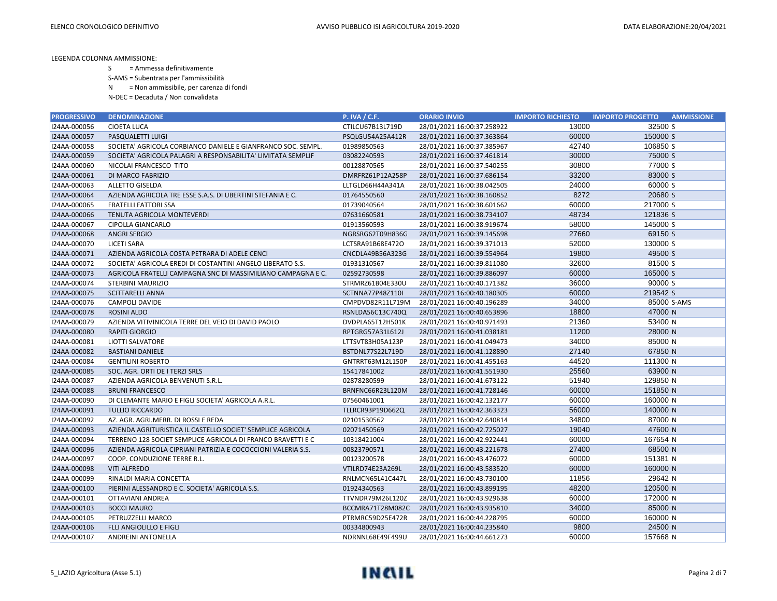S = Ammessa definitivamente

S-AMS = Subentrata per l'ammissibilità

N = Non ammissibile, per carenza di fondi

N-DEC = Decaduta / Non convalidata

| <b>PROGRESSIVO</b> | <b>DENOMINAZIONE</b>                                         | <b>P. IVA / C.F.</b> | <b>ORARIO INVIO</b>        | <b>IMPORTO RICHIESTO</b> | <b>AMMISSIONE</b><br><b>IMPORTO PROGETTO</b> |
|--------------------|--------------------------------------------------------------|----------------------|----------------------------|--------------------------|----------------------------------------------|
| I24AA-000056       | <b>CIOETA LUCA</b>                                           | CTILCU67B13L719D     | 28/01/2021 16:00:37.258922 | 13000                    | 32500 S                                      |
| I24AA-000057       | PASQUALETTI LUIGI                                            | PSQLGU54A25A412R     | 28/01/2021 16:00:37.363864 | 60000                    | 150000 S                                     |
| I24AA-000058       | SOCIETA' AGRICOLA CORBIANCO DANIELE E GIANFRANCO SOC. SEMPL. | 01989850563          | 28/01/2021 16:00:37.385967 | 42740                    | 106850 S                                     |
| I24AA-000059       | SOCIETA' AGRICOLA PALAGRI A RESPONSABILITA' LIMITATA SEMPLIF | 03082240593          | 28/01/2021 16:00:37.461814 | 30000                    | 75000 S                                      |
| I24AA-000060       | NICOLAI FRANCESCO TITO                                       | 00128870565          | 28/01/2021 16:00:37.540255 | 30800                    | 77000 S                                      |
| I24AA-000061       | DI MARCO FABRIZIO                                            | DMRFRZ61P12A258P     | 28/01/2021 16:00:37.686154 | 33200                    | 83000 S                                      |
| I24AA-000063       | <b>ALLETTO GISELDA</b>                                       | LLTGLD66H44A341A     | 28/01/2021 16:00:38.042505 | 24000                    | 60000 S                                      |
| I24AA-000064       | AZIENDA AGRICOLA TRE ESSE S.A.S. DI UBERTINI STEFANIA E C.   | 01764550560          | 28/01/2021 16:00:38.160852 | 8272                     | 20680 S                                      |
| I24AA-000065       | <b>FRATELLI FATTORI SSA</b>                                  | 01739040564          | 28/01/2021 16:00:38.601662 | 60000                    | 217000 S                                     |
| I24AA-000066       | TENUTA AGRICOLA MONTEVERDI                                   | 07631660581          | 28/01/2021 16:00:38.734107 | 48734                    | 121836 S                                     |
| I24AA-000067       | <b>CIPOLLA GIANCARLO</b>                                     | 01913560593          | 28/01/2021 16:00:38.919674 | 58000                    | 145000 S                                     |
| I24AA-000068       | <b>ANGRI SERGIO</b>                                          | NGRSRG62T09H836G     | 28/01/2021 16:00:39.145698 | 27660                    | 69150 S                                      |
| I24AA-000070       | <b>LICETI SARA</b>                                           | LCTSRA91B68E472O     | 28/01/2021 16:00:39.371013 | 52000                    | 130000 S                                     |
| I24AA-000071       | AZIENDA AGRICOLA COSTA PETRARA DI ADELE CENCI                | CNCDLA49B56A323G     | 28/01/2021 16:00:39.554964 | 19800                    | 49500 S                                      |
| I24AA-000072       | SOCIETA' AGRICOLA EREDI DI COSTANTINI ANGELO LIBERATO S.S.   | 01931310567          | 28/01/2021 16:00:39.811080 | 32600                    | 81500 S                                      |
| I24AA-000073       | AGRICOLA FRATELLI CAMPAGNA SNC DI MASSIMILIANO CAMPAGNA E C. | 02592730598          | 28/01/2021 16:00:39.886097 | 60000                    | 165000 S                                     |
| I24AA-000074       | <b>STERBINI MAURIZIO</b>                                     | STRMRZ61B04E330U     | 28/01/2021 16:00:40.171382 | 36000                    | 90000 S                                      |
| I24AA-000075       | <b>SCITTARELLI ANNA</b>                                      | SCTNNA77P48Z110I     | 28/01/2021 16:00:40.180305 | 60000                    | 219542 S                                     |
| I24AA-000076       | CAMPOLI DAVIDE                                               | CMPDVD82R11L719M     | 28/01/2021 16:00:40.196289 | 34000                    | 85000 S-AMS                                  |
| I24AA-000078       | <b>ROSINI ALDO</b>                                           | RSNLDA56C13C740Q     | 28/01/2021 16:00:40.653896 | 18800                    | 47000 N                                      |
| I24AA-000079       | AZIENDA VITIVINICOLA TERRE DEL VEIO DI DAVID PAOLO           | DVDPLA65T12H501K     | 28/01/2021 16:00:40.971493 | 21360                    | 53400 N                                      |
| I24AA-000080       | <b>RAPITI GIORGIO</b>                                        | RPTGRG57A31L612J     | 28/01/2021 16:00:41.038181 | 11200                    | 28000 N                                      |
| I24AA-000081       | LIOTTI SALVATORE                                             | LTTSVT83H05A123P     | 28/01/2021 16:00:41.049473 | 34000                    | 85000 N                                      |
| I24AA-000082       | <b>BASTIANI DANIELE</b>                                      | BSTDNL77S22L719D     | 28/01/2021 16:00:41.128890 | 27140                    | 67850 N                                      |
| I24AA-000084       | <b>GENTILINI ROBERTO</b>                                     | GNTRRT63M12L150P     | 28/01/2021 16:00:41.455163 | 44520                    | 111300 N                                     |
| I24AA-000085       | SOC. AGR. ORTI DE I TERZI SRLS                               | 15417841002          | 28/01/2021 16:00:41.551930 | 25560                    | 63900 N                                      |
| I24AA-000087       | AZIENDA AGRICOLA BENVENUTI S.R.L.                            | 02878280599          | 28/01/2021 16:00:41.673122 | 51940                    | 129850 N                                     |
| I24AA-000088       | <b>BRUNI FRANCESCO</b>                                       | BRNFNC66R23L120M     | 28/01/2021 16:00:41.728146 | 60000                    | 151850 N                                     |
| I24AA-000090       | DI CLEMANTE MARIO E FIGLI SOCIETA' AGRICOLA A.R.L.           | 07560461001          | 28/01/2021 16:00:42.132177 | 60000                    | 160000 N                                     |
| I24AA-000091       | <b>TULLIO RICCARDO</b>                                       | TLLRCR93P19D662Q     | 28/01/2021 16:00:42.363323 | 56000                    | 140000 N                                     |
| I24AA-000092       | AZ. AGR. AGRI.MERR. DI ROSSI E REDA                          | 02101530562          | 28/01/2021 16:00:42.640814 | 34800                    | 87000 N                                      |
| I24AA-000093       | AZIENDA AGRITURISTICA IL CASTELLO SOCIET' SEMPLICE AGRICOLA  | 02071450569          | 28/01/2021 16:00:42.725027 | 19040                    | 47600 N                                      |
| I24AA-000094       | TERRENO 128 SOCIET SEMPLICE AGRICOLA DI FRANCO BRAVETTI E C  | 10318421004          | 28/01/2021 16:00:42.922441 | 60000                    | 167654 N                                     |
| I24AA-000096       | AZIENDA AGRICOLA CIPRIANI PATRIZIA E COCOCCIONI VALERIA S.S. | 00823790571          | 28/01/2021 16:00:43.221678 | 27400                    | 68500 N                                      |
| I24AA-000097       | COOP. CONDUZIONE TERRE R.L.                                  | 00123200578          | 28/01/2021 16:00:43.476072 | 60000                    | 151381 N                                     |
| I24AA-000098       | <b>VITI ALFREDO</b>                                          | VTILRD74E23A269L     | 28/01/2021 16:00:43.583520 | 60000                    | 160000 N                                     |
| I24AA-000099       | RINALDI MARIA CONCETTA                                       | RNLMCN65L41C447L     | 28/01/2021 16:00:43.730100 | 11856                    | 29642 N                                      |
| I24AA-000100       | PIERINI ALESSANDRO E C. SOCIETA' AGRICOLA S.S.               | 01924340563          | 28/01/2021 16:00:43.899195 | 48200                    | 120500 N                                     |
| I24AA-000101       | OTTAVIANI ANDREA                                             | TTVNDR79M26L120Z     | 28/01/2021 16:00:43.929638 | 60000                    | 172000 N                                     |
| I24AA-000103       | <b>BOCCI MAURO</b>                                           | BCCMRA71T28M082C     | 28/01/2021 16:00:43.935810 | 34000                    | 85000 N                                      |
| I24AA-000105       | PETRUZZELLI MARCO                                            | PTRMRC59D25E472R     | 28/01/2021 16:00:44.228795 | 60000                    | 160000 N                                     |
| I24AA-000106       | <b>FLLI ANGIOLILLO E FIGLI</b>                               | 00334800943          | 28/01/2021 16:00:44.235840 | 9800                     | 24500 N                                      |
| I24AA-000107       | ANDREINI ANTONELLA                                           | NDRNNL68E49F499U     | 28/01/2021 16:00:44.661273 | 60000                    | 157668 N                                     |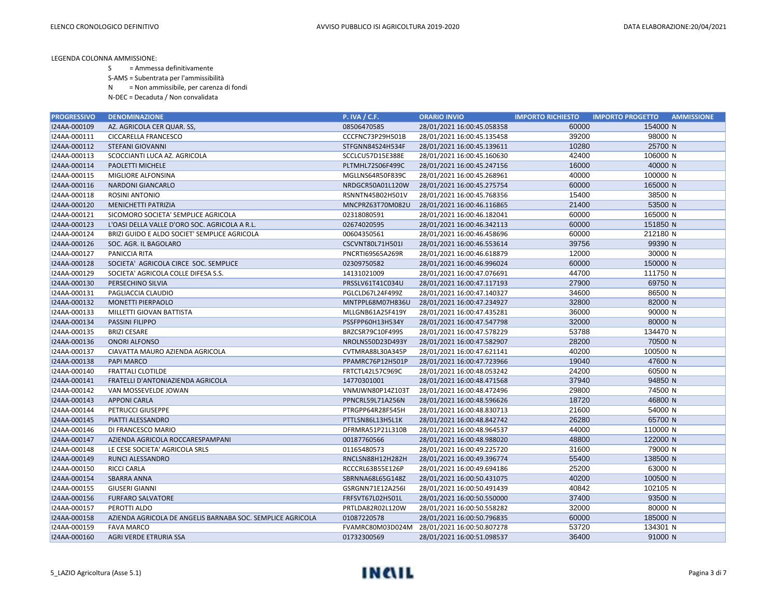- S = Ammessa definitivamente
- S-AMS = Subentrata per l'ammissibilità
- N = Non ammissibile, per carenza di fondi
- N-DEC = Decaduta / Non convalidata

| <b>PROGRESSIVO</b> | <b>DENOMINAZIONE</b>                                       | <b>P. IVA / C.F.</b> | <b>ORARIO INVIO</b>        | <b>IMPORTO RICHIESTO</b> | <b>IMPORTO PROGETTO</b><br><b>AMMISSIONE</b> |
|--------------------|------------------------------------------------------------|----------------------|----------------------------|--------------------------|----------------------------------------------|
| I24AA-000109       | AZ. AGRICOLA CER QUAR. SS,                                 | 08506470585          | 28/01/2021 16:00:45.058358 | 60000                    | 154000 N                                     |
| I24AA-000111       | <b>CICCARELLA FRANCESCO</b>                                | CCCFNC73P29H501B     | 28/01/2021 16:00:45.135458 | 39200                    | 98000 N                                      |
| I24AA-000112       | <b>STEFANI GIOVANNI</b>                                    | STFGNN84S24H534F     | 28/01/2021 16:00:45.139611 | 10280                    | 25700 N                                      |
| I24AA-000113       | SCOCCIANTI LUCA AZ. AGRICOLA                               | SCCLCU57D15E388E     | 28/01/2021 16:00:45.160630 | 42400                    | 106000 N                                     |
| I24AA-000114       | PAOLETTI MICHELE                                           | PLTMHL72S06F499C     | 28/01/2021 16:00:45.247156 | 16000                    | 40000 N                                      |
| I24AA-000115       | MIGLIORE ALFONSINA                                         | MGLLNS64R50F839C     | 28/01/2021 16:00:45.268961 | 40000                    | 100000 N                                     |
| I24AA-000116       | <b>NARDONI GIANCARLO</b>                                   | NRDGCR50A01L120W     | 28/01/2021 16:00:45.275754 | 60000                    | 165000 N                                     |
| I24AA-000118       | <b>ROSINI ANTONIO</b>                                      | RSNNTN45B02H501V     | 28/01/2021 16:00:45.768356 | 15400                    | 38500 N                                      |
| I24AA-000120       | <b>MENICHETTI PATRIZIA</b>                                 | MNCPRZ63T70M082U     | 28/01/2021 16:00:46.116865 | 21400                    | 53500 N                                      |
| I24AA-000121       | SICOMORO SOCIETA' SEMPLICE AGRICOLA                        | 02318080591          | 28/01/2021 16:00:46.182041 | 60000                    | 165000 N                                     |
| I24AA-000123       | L'OASI DELLA VALLE D'ORO SOC. AGRICOLA A R.L.              | 02674020595          | 28/01/2021 16:00:46.342113 | 60000                    | 151850 N                                     |
| I24AA-000124       | BRIZI GUIDO E ALDO SOCIET' SEMPLICE AGRICOLA               | 00604350561          | 28/01/2021 16:00:46.458696 | 60000                    | 212180 N                                     |
| I24AA-000126       | SOC. AGR. IL BAGOLARO                                      | CSCVNT80L71H501I     | 28/01/2021 16:00:46.553614 | 39756                    | 99390 N                                      |
| I24AA-000127       | <b>PANICCIA RITA</b>                                       | PNCRTI69S65A269R     | 28/01/2021 16:00:46.618879 | 12000                    | 30000 N                                      |
| I24AA-000128       | SOCIETA' AGRICOLA CIRCE SOC. SEMPLICE                      | 02309750582          | 28/01/2021 16:00:46.996024 | 60000                    | 150000 N                                     |
| I24AA-000129       | SOCIETA' AGRICOLA COLLE DIFESA S.S.                        | 14131021009          | 28/01/2021 16:00:47.076691 | 44700                    | 111750 N                                     |
| I24AA-000130       | PERSECHINO SILVIA                                          | PRSSLV61T41C034U     | 28/01/2021 16:00:47.117193 | 27900                    | 69750 N                                      |
| I24AA-000131       | PAGLIACCIA CLAUDIO                                         | PGLCLD67L24F499Z     | 28/01/2021 16:00:47.140327 | 34600                    | 86500 N                                      |
| I24AA-000132       | <b>MONETTI PIERPAOLO</b>                                   | MNTPPL68M07H836U     | 28/01/2021 16:00:47.234927 | 32800                    | 82000 N                                      |
| I24AA-000133       | MILLETTI GIOVAN BATTISTA                                   | MLLGNB61A25F419Y     | 28/01/2021 16:00:47.435281 | 36000                    | 90000 N                                      |
| I24AA-000134       | <b>PASSINI FILIPPO</b>                                     | PSSFPP60H13H534Y     | 28/01/2021 16:00:47.547798 | 32000                    | 80000 N                                      |
| I24AA-000135       | <b>BRIZI CESARE</b>                                        | BRZCSR79C10F499S     | 28/01/2021 16:00:47.578229 | 53788                    | 134470 N                                     |
| I24AA-000136       | <b>ONORI ALFONSO</b>                                       | NROLNS50D23D493Y     | 28/01/2021 16:00:47.582907 | 28200                    | 70500 N                                      |
| I24AA-000137       | CIAVATTA MAURO AZIENDA AGRICOLA                            | CVTMRA88L30A345P     | 28/01/2021 16:00:47.621141 | 40200                    | 100500 N                                     |
| I24AA-000138       | <b>PAPI MARCO</b>                                          | PPAMRC76P12H501P     | 28/01/2021 16:00:47.723966 | 19040                    | 47600 N                                      |
| I24AA-000140       | <b>FRATTALI CLOTILDE</b>                                   | FRTCTL42L57C969C     | 28/01/2021 16:00:48.053242 | 24200                    | 60500 N                                      |
| I24AA-000141       | FRATELLI D'ANTONIAZIENDA AGRICOLA                          | 14770301001          | 28/01/2021 16:00:48.471568 | 37940                    | 94850 N                                      |
| I24AA-000142       | VAN MOSSEVELDE JOWAN                                       | VNMJWN80P14Z103T     | 28/01/2021 16:00:48.472496 | 29800                    | 74500 N                                      |
| I24AA-000143       | <b>APPONI CARLA</b>                                        | PPNCRL59L71A256N     | 28/01/2021 16:00:48.596626 | 18720                    | 46800 N                                      |
| I24AA-000144       | PETRUCCI GIUSEPPE                                          | PTRGPP64R28F545H     | 28/01/2021 16:00:48.830713 | 21600                    | 54000 N                                      |
| I24AA-000145       | PIATTI ALESSANDRO                                          | PTTLSN86L13H5L1K     | 28/01/2021 16:00:48.842742 | 26280                    | 65700 N                                      |
| I24AA-000146       | DI FRANCESCO MARIO                                         | DFRMRA51P21L310B     | 28/01/2021 16:00:48.964537 | 44000                    | 110000 N                                     |
| I24AA-000147       | AZIENDA AGRICOLA ROCCARESPAMPANI                           | 00187760566          | 28/01/2021 16:00:48.988020 | 48800                    | 122000 N                                     |
| I24AA-000148       | LE CESE SOCIETA' AGRICOLA SRLS                             | 01165480573          | 28/01/2021 16:00:49.225720 | 31600                    | 79000 N                                      |
| I24AA-000149       | RUNCI ALESSANDRO                                           | RNCLSN88H12H282H     | 28/01/2021 16:00:49.396774 | 55400                    | 138500 N                                     |
| I24AA-000150       | <b>RICCI CARLA</b>                                         | RCCCRL63B55E126P     | 28/01/2021 16:00:49.694186 | 25200                    | 63000 N                                      |
| I24AA-000154       | <b>SBARRA ANNA</b>                                         | SBRNNA68L65G148Z     | 28/01/2021 16:00:50.431075 | 40200                    | 100500 N                                     |
| I24AA-000155       | <b>GIUSERI GIANNI</b>                                      | GSRGNN71E12A256I     | 28/01/2021 16:00:50.491439 | 40842                    | 102105 N                                     |
| I24AA-000156       | <b>FURFARO SALVATORE</b>                                   | FRFSVT67L02H501L     | 28/01/2021 16:00:50.550000 | 37400                    | 93500 N                                      |
| I24AA-000157       | PEROTTI ALDO                                               | PRTLDA82R02L120W     | 28/01/2021 16:00:50.558282 | 32000                    | 80000 N                                      |
| I24AA-000158       | AZIENDA AGRICOLA DE ANGELIS BARNABA SOC. SEMPLICE AGRICOLA | 01087220578          | 28/01/2021 16:00:50.796835 | 60000                    | 185000 N                                     |
| I24AA-000159       | <b>FAVA MARCO</b>                                          | FVAMRC80M03D024M     | 28/01/2021 16:00:50.807278 | 53720                    | 134301 N                                     |
| I24AA-000160       | AGRI VERDE ETRURIA SSA                                     | 01732300569          | 28/01/2021 16:00:51.098537 | 36400                    | 91000 N                                      |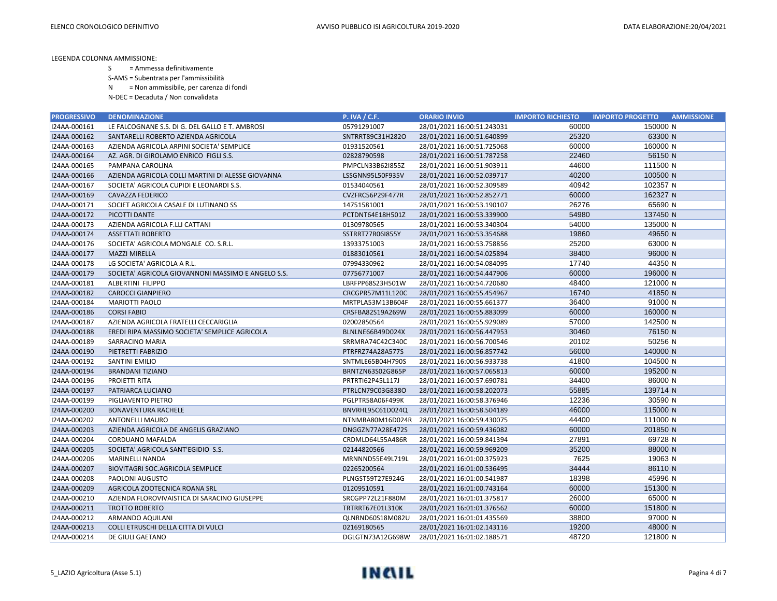S = Ammessa definitivamente

S-AMS = Subentrata per l'ammissibilità

N = Non ammissibile, per carenza di fondi

N-DEC = Decaduta / Non convalidata

| <b>PROGRESSIVO</b> | <b>DENOMINAZIONE</b>                               | <b>P. IVA / C.F.</b> | <b>ORARIO INVIO</b>        | <b>IMPORTO RICHIESTO</b> | <b>IMPORTO PROGETTO</b><br><b>AMMISSIONE</b> |
|--------------------|----------------------------------------------------|----------------------|----------------------------|--------------------------|----------------------------------------------|
| I24AA-000161       | LE FALCOGNANE S.S. DI G. DEL GALLO E T. AMBROSI    | 05791291007          | 28/01/2021 16:00:51.243031 | 60000                    | 150000 N                                     |
| I24AA-000162       | SANTARELLI ROBERTO AZIENDA AGRICOLA                | SNTRRT89C31H282O     | 28/01/2021 16:00:51.640899 | 25320                    | 63300 N                                      |
| I24AA-000163       | AZIENDA AGRICOLA ARPINI SOCIETA' SEMPLICE          | 01931520561          | 28/01/2021 16:00:51.725068 | 60000                    | 160000 N                                     |
| I24AA-000164       | AZ. AGR. DI GIROLAMO ENRICO FIGLI S.S.             | 02828790598          | 28/01/2021 16:00:51.787258 | 22460                    | 56150 N                                      |
| I24AA-000165       | PAMPANA CAROLINA                                   | PMPCLN33B62I855Z     | 28/01/2021 16:00:51.903911 | 44600                    | 111500 N                                     |
| I24AA-000166       | AZIENDA AGRICOLA COLLI MARTINI DI ALESSE GIOVANNA  | LSSGNN95L50F935V     | 28/01/2021 16:00:52.039717 | 40200                    | 100500 N                                     |
| I24AA-000167       | SOCIETA' AGRICOLA CUPIDI E LEONARDI S.S.           | 01534040561          | 28/01/2021 16:00:52.309589 | 40942                    | 102357 N                                     |
| I24AA-000169       | <b>CAVAZZA FEDERICO</b>                            | CVZFRC56P29F477R     | 28/01/2021 16:00:52.852771 | 60000                    | 162327 N                                     |
| I24AA-000171       | SOCIET AGRICOLA CASALE DI LUTINANO SS              | 14751581001          | 28/01/2021 16:00:53.190107 | 26276                    | 65690 N                                      |
| I24AA-000172       | PICOTTI DANTE                                      | PCTDNT64E18H501Z     | 28/01/2021 16:00:53.339900 | 54980                    | 137450 N                                     |
| I24AA-000173       | AZIENDA AGRICOLA F.LLI CATTANI                     | 01309780565          | 28/01/2021 16:00:53.340304 | 54000                    | 135000 N                                     |
| I24AA-000174       | <b>ASSETTATI ROBERTO</b>                           | SSTRRT77R06I855Y     | 28/01/2021 16:00:53.354688 | 19860                    | 49650 N                                      |
| I24AA-000176       | SOCIETA' AGRICOLA MONGALE CO. S.R.L.               | 13933751003          | 28/01/2021 16:00:53.758856 | 25200                    | 63000 N                                      |
| I24AA-000177       | <b>MAZZI MIRELLA</b>                               | 01883010561          | 28/01/2021 16:00:54.025894 | 38400                    | 96000 N                                      |
| I24AA-000178       | LG SOCIETA' AGRICOLA A R.L.                        | 07994330962          | 28/01/2021 16:00:54.084095 | 17740                    | 44350 N                                      |
| I24AA-000179       | SOCIETA' AGRICOLA GIOVANNONI MASSIMO E ANGELO S.S. | 07756771007          | 28/01/2021 16:00:54.447906 | 60000                    | 196000 N                                     |
| I24AA-000181       | ALBERTINI FILIPPO                                  | LBRFPP68S23H501W     | 28/01/2021 16:00:54.720680 | 48400                    | 121000 N                                     |
| I24AA-000182       | <b>CAROCCI GIANPIERO</b>                           | CRCGPR57M11L120C     | 28/01/2021 16:00:55.454967 | 16740                    | 41850 N                                      |
| I24AA-000184       | <b>MARIOTTI PAOLO</b>                              | MRTPLA53M13B604F     | 28/01/2021 16:00:55.661377 | 36400                    | 91000 N                                      |
| I24AA-000186       | <b>CORSI FABIO</b>                                 | CRSFBA82S19A269W     | 28/01/2021 16:00:55.883099 | 60000                    | 160000 N                                     |
| I24AA-000187       | AZIENDA AGRICOLA FRATELLI CECCARIGLIA              | 02002850564          | 28/01/2021 16:00:55.929089 | 57000                    | 142500 N                                     |
| I24AA-000188       | EREDI RIPA MASSIMO SOCIETA' SEMPLICE AGRICOLA      | BLNLNE66B49D024X     | 28/01/2021 16:00:56.447953 | 30460                    | 76150 N                                      |
| I24AA-000189       | SARRACINO MARIA                                    | SRRMRA74C42C340C     | 28/01/2021 16:00:56.700546 | 20102                    | 50256 N                                      |
| I24AA-000190       | PIETRETTI FABRIZIO                                 | PTRFRZ74A28A577S     | 28/01/2021 16:00:56.857742 | 56000                    | 140000 N                                     |
| I24AA-000192       | <b>SANTINI EMILIO</b>                              | SNTMLE65B04H790S     | 28/01/2021 16:00:56.933738 | 41800                    | 104500 N                                     |
| I24AA-000194       | <b>BRANDANI TIZIANO</b>                            | BRNTZN63S02G865P     | 28/01/2021 16:00:57.065813 | 60000                    | 195200 N                                     |
| I24AA-000196       | <b>PROJETTI RITA</b>                               | PRTRTI62P45L117J     | 28/01/2021 16:00:57.690781 | 34400                    | 86000 N                                      |
| I24AA-000197       | PATRIARCA LUCIANO                                  | PTRLCN79C03G838O     | 28/01/2021 16:00:58.202073 | 55885                    | 139714 N                                     |
| I24AA-000199       | PIGLIAVENTO PIETRO                                 | PGLPTR58A06F499K     | 28/01/2021 16:00:58.376946 | 12236                    | 30590 N                                      |
| I24AA-000200       | <b>BONAVENTURA RACHELE</b>                         | BNVRHL95C61D024Q     | 28/01/2021 16:00:58.504189 | 46000                    | 115000 N                                     |
| I24AA-000202       | <b>ANTONELLI MAURO</b>                             | NTNMRA80M16D024R     | 28/01/2021 16:00:59.430075 | 44400                    | 111000 N                                     |
| I24AA-000203       | AZIENDA AGRICOLA DE ANGELIS GRAZIANO               | DNGGZN77A28E472S     | 28/01/2021 16:00:59.436082 | 60000                    | 201850 N                                     |
| I24AA-000204       | CORDUANO MAFALDA                                   | CRDMLD64L55A486R     | 28/01/2021 16:00:59.841394 | 27891                    | 69728 N                                      |
| I24AA-000205       | SOCIETA' AGRICOLA SANT'EGIDIO S.S.                 | 02144820566          | 28/01/2021 16:00:59.969209 | 35200                    | 88000 N                                      |
| I24AA-000206       | <b>MARINELLI NANDA</b>                             | MRNNND55E49L719L     | 28/01/2021 16:01:00.375923 | 7625                     | 19063 N                                      |
| I24AA-000207       | BIOVITAGRI SOC.AGRICOLA SEMPLICE                   | 02265200564          | 28/01/2021 16:01:00.536495 | 34444                    | 86110 N                                      |
| I24AA-000208       | <b>PAOLONI AUGUSTO</b>                             | PLNGST59T27E924G     | 28/01/2021 16:01:00.541987 | 18398                    | 45996 N                                      |
| I24AA-000209       | AGRICOLA ZOOTECNICA ROANA SRL                      | 01209510591          | 28/01/2021 16:01:00.743164 | 60000                    | 151300 N                                     |
| I24AA-000210       | AZIENDA FLOROVIVAISTICA DI SARACINO GIUSEPPE       | SRCGPP72L21F880M     | 28/01/2021 16:01:01.375817 | 26000                    | 65000 N                                      |
| I24AA-000211       | <b>TROTTO ROBERTO</b>                              | TRTRRT67E01L310K     | 28/01/2021 16:01:01.376562 | 60000                    | 151800 N                                     |
| I24AA-000212       | ARMANDO AQUILANI                                   | QLNRND60S18M082U     | 28/01/2021 16:01:01.435569 | 38800                    | 97000 N                                      |
| I24AA-000213       | COLLI ETRUSCHI DELLA CITTA DI VULCI                | 02169180565          | 28/01/2021 16:01:02.143116 | 19200                    | 48000 N                                      |
| I24AA-000214       | DE GIULI GAETANO                                   | DGLGTN73A12G698W     | 28/01/2021 16:01:02.188571 | 48720                    | 121800 N                                     |

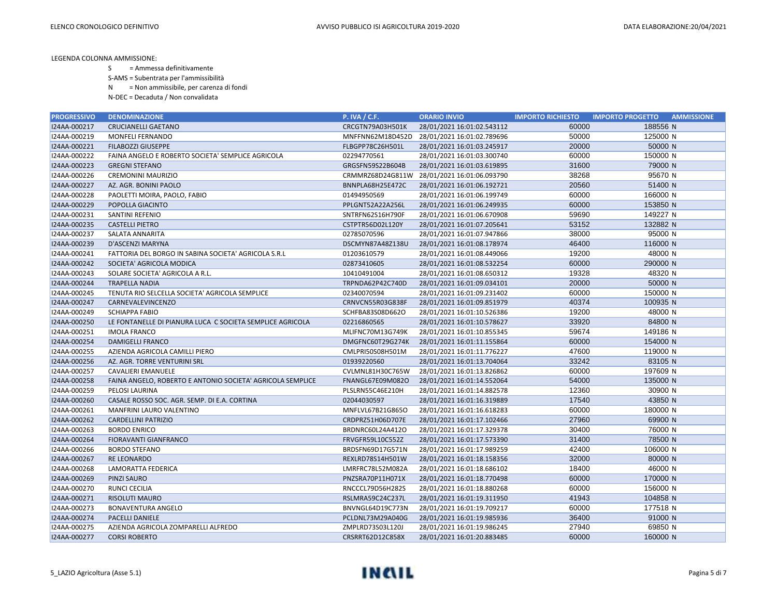- S = Ammessa definitivamente
- S-AMS = Subentrata per l'ammissibilità
- N = Non ammissibile, per carenza di fondi
- N-DEC = Decaduta / Non convalidata

| <b>PROGRESSIVO</b> | <b>DENOMINAZIONE</b>                                       | <b>P. IVA / C.F.</b> | <b>ORARIO INVIO</b>        | <b>IMPORTO RICHIESTO</b> | <b>IMPORTO PROGETTO</b><br><b>AMMISSIONE</b> |
|--------------------|------------------------------------------------------------|----------------------|----------------------------|--------------------------|----------------------------------------------|
| I24AA-000217       | <b>CRUCIANELLI GAETANO</b>                                 | CRCGTN79A03H501K     | 28/01/2021 16:01:02.543112 | 60000                    | 188556 N                                     |
| I24AA-000219       | MONFELI FERNANDO                                           | MNFFNN62M18D452D     | 28/01/2021 16:01:02.789696 | 50000                    | 125000 N                                     |
| I24AA-000221       | <b>FILABOZZI GIUSEPPE</b>                                  | FLBGPP78C26H501L     | 28/01/2021 16:01:03.245917 | 20000                    | 50000 N                                      |
| I24AA-000222       | FAINA ANGELO E ROBERTO SOCIETA' SEMPLICE AGRICOLA          | 02294770561          | 28/01/2021 16:01:03.300740 | 60000                    | 150000 N                                     |
| I24AA-000223       | <b>GREGNI STEFANO</b>                                      | GRGSFN59S22B604B     | 28/01/2021 16:01:03.619895 | 31600                    | 79000 N                                      |
| I24AA-000226       | <b>CREMONINI MAURIZIO</b>                                  | CRMMRZ68D24G811W     | 28/01/2021 16:01:06.093790 | 38268                    | 95670 N                                      |
| I24AA-000227       | AZ. AGR. BONINI PAOLO                                      | BNNPLA68H25E472C     | 28/01/2021 16:01:06.192721 | 20560                    | 51400 N                                      |
| I24AA-000228       | PAOLETTI MOIRA, PAOLO, FABIO                               | 01494950569          | 28/01/2021 16:01:06.199749 | 60000                    | 166000 N                                     |
| I24AA-000229       | POPOLLA GIACINTO                                           | PPLGNT52A22A256L     | 28/01/2021 16:01:06.249935 | 60000                    | 153850 N                                     |
| I24AA-000231       | SANTINI REFENIO                                            | SNTRFN62S16H790F     | 28/01/2021 16:01:06.670908 | 59690                    | 149227 N                                     |
| I24AA-000235       | <b>CASTELLI PIETRO</b>                                     | CSTPTR56D02L120Y     | 28/01/2021 16:01:07.205641 | 53152                    | 132882 N                                     |
| I24AA-000237       | SALATA ANNARITA                                            | 02785070596          | 28/01/2021 16:01:07.947866 | 38000                    | 95000 N                                      |
| I24AA-000239       | D'ASCENZI MARYNA                                           | DSCMYN87A48Z138U     | 28/01/2021 16:01:08.178974 | 46400                    | 116000 N                                     |
| I24AA-000241       | FATTORIA DEL BORGO IN SABINA SOCIETA' AGRICOLA S.R.L       | 01203610579          | 28/01/2021 16:01:08.449066 | 19200                    | 48000 N                                      |
| I24AA-000242       | SOCIETA' AGRICOLA MODICA                                   | 02873410605          | 28/01/2021 16:01:08.532254 | 60000                    | 290000 N                                     |
| I24AA-000243       | SOLARE SOCIETA' AGRICOLA A R.L.                            | 10410491004          | 28/01/2021 16:01:08.650312 | 19328                    | 48320 N                                      |
| I24AA-000244       | <b>TRAPELLA NADIA</b>                                      | TRPNDA62P42C740D     | 28/01/2021 16:01:09.034101 | 20000                    | 50000 N                                      |
| I24AA-000245       | TENUTA RIO SELCELLA SOCIETA' AGRICOLA SEMPLICE             | 02340070594          | 28/01/2021 16:01:09.231402 | 60000                    | 150000 N                                     |
| I24AA-000247       | CARNEVALEVINCENZO                                          | CRNVCN55R03G838F     | 28/01/2021 16:01:09.851979 | 40374                    | 100935 N                                     |
| I24AA-000249       | <b>SCHIAPPA FABIO</b>                                      | SCHFBA83S08D662O     | 28/01/2021 16:01:10.526386 | 19200                    | 48000 N                                      |
| I24AA-000250       | LE FONTANELLE DI PIANURA LUCA C SOCIETA SEMPLICE AGRICOLA  | 02216860565          | 28/01/2021 16:01:10.578627 | 33920                    | 84800 N                                      |
| I24AA-000251       | <b>IMOLA FRANCO</b>                                        | MLIFNC70M13G749K     | 28/01/2021 16:01:10.855345 | 59674                    | 149186 N                                     |
| I24AA-000254       | <b>DAMIGELLI FRANCO</b>                                    | DMGFNC60T29G274K     | 28/01/2021 16:01:11.155864 | 60000                    | 154000 N                                     |
| I24AA-000255       | AZIENDA AGRICOLA CAMILLI PIERO                             | CMLPRI50S08H501M     | 28/01/2021 16:01:11.776227 | 47600                    | 119000 N                                     |
| I24AA-000256       | AZ. AGR. TORRE VENTURINI SRL                               | 01939220560          | 28/01/2021 16:01:13.704064 | 33242                    | 83105 N                                      |
| I24AA-000257       | <b>CAVALIERI EMANUELE</b>                                  | CVLMNL81H30C765W     | 28/01/2021 16:01:13.826862 | 60000                    | 197609 N                                     |
| I24AA-000258       | FAINA ANGELO, ROBERTO E ANTONIO SOCIETA' AGRICOLA SEMPLICE | FNANGL67E09M082O     | 28/01/2021 16:01:14.552064 | 54000                    | 135000 N                                     |
| I24AA-000259       | PELOSI LAURINA                                             | PLSLRN55C46E210H     | 28/01/2021 16:01:14.882578 | 12360                    | 30900 N                                      |
| I24AA-000260       | CASALE ROSSO SOC. AGR. SEMP. DI E.A. CORTINA               | 02044030597          | 28/01/2021 16:01:16.319889 | 17540                    | 43850 N                                      |
| I24AA-000261       | MANFRINI LAURO VALENTINO                                   | MNFLVL67B21G865O     | 28/01/2021 16:01:16.618283 | 60000                    | 180000 N                                     |
| I24AA-000262       | <b>CARDELLINI PATRIZIO</b>                                 | CRDPRZ51H06D707E     | 28/01/2021 16:01:17.102466 | 27960                    | 69900 N                                      |
| I24AA-000263       | <b>BORDO ENRICO</b>                                        | BRDNRC60L24A412O     | 28/01/2021 16:01:17.329378 | 30400                    | 76000 N                                      |
| I24AA-000264       | <b>FIORAVANTI GIANFRANCO</b>                               | FRVGFR59L10C552Z     | 28/01/2021 16:01:17.573390 | 31400                    | 78500 N                                      |
| I24AA-000266       | <b>BORDO STEFANO</b>                                       | BRDSFN69D17G571N     | 28/01/2021 16:01:17.989259 | 42400                    | 106000 N                                     |
| I24AA-000267       | <b>RE LEONARDO</b>                                         | REXLRD78S14H501W     | 28/01/2021 16:01:18.158356 | 32000                    | 80000 N                                      |
| I24AA-000268       | <b>LAMORATTA FEDERICA</b>                                  | LMRFRC78L52M082A     | 28/01/2021 16:01:18.686102 | 18400                    | 46000 N                                      |
| I24AA-000269       | <b>PINZI SAURO</b>                                         | PNZSRA70P11H071X     | 28/01/2021 16:01:18.770498 | 60000                    | 170000 N                                     |
| I24AA-000270       | <b>RUNCI CECILIA</b>                                       | RNCCCL79D56H282S     | 28/01/2021 16:01:18.880268 | 60000                    | 156000 N                                     |
| I24AA-000271       | <b>RISOLUTI MAURO</b>                                      | RSLMRA59C24C237L     | 28/01/2021 16:01:19.311950 | 41943                    | 104858 N                                     |
| I24AA-000273       | <b>BONAVENTURA ANGELO</b>                                  | BNVNGL64D19C773N     | 28/01/2021 16:01:19.709217 | 60000                    | 177518 N                                     |
| I24AA-000274       | <b>PACELLI DANIELE</b>                                     | PCLDNL73M29A040G     | 28/01/2021 16:01:19.985936 | 36400                    | 91000 N                                      |
| I24AA-000275       | AZIENDA AGRICOLA ZOMPARELLI ALFREDO                        | ZMPLRD73S03L120J     | 28/01/2021 16:01:19.986245 | 27940                    | 69850 N                                      |
| I24AA-000277       | <b>CORSI ROBERTO</b>                                       | CRSRRT62D12C858X     | 28/01/2021 16:01:20.883485 | 60000                    | 160000 N                                     |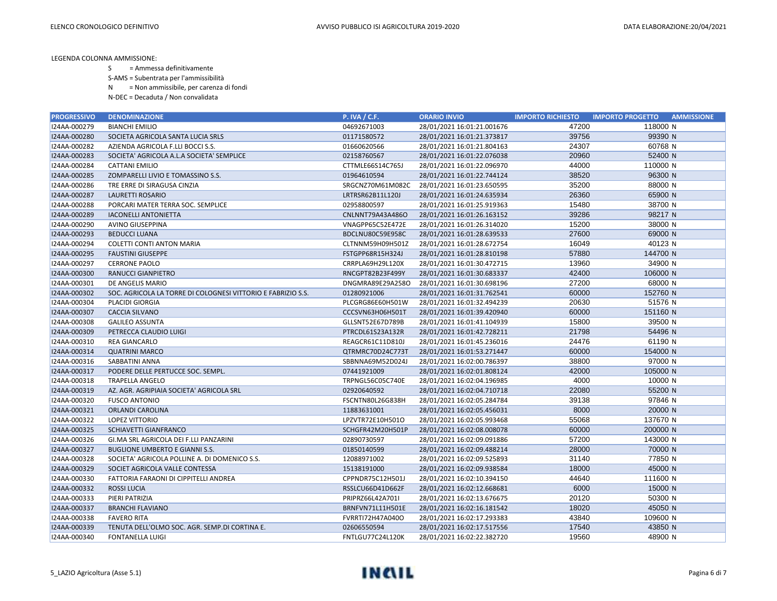- S = Ammessa definitivamente
- S-AMS = Subentrata per l'ammissibilità
- N = Non ammissibile, per carenza di fondi
- N-DEC = Decaduta / Non convalidata

| <b>PROGRESSIVO</b> | <b>DENOMINAZIONE</b>                                         | <b>P. IVA / C.F.</b> | <b>ORARIO INVIO</b>        | <b>IMPORTO RICHIESTO</b> | <b>IMPORTO PROGETTO</b><br><b>AMMISSIONE</b> |
|--------------------|--------------------------------------------------------------|----------------------|----------------------------|--------------------------|----------------------------------------------|
| I24AA-000279       | <b>BIANCHI EMILIO</b>                                        | 04692671003          | 28/01/2021 16:01:21.001676 | 47200                    | 118000 N                                     |
| I24AA-000280       | SOCIETA AGRICOLA SANTA LUCIA SRLS                            | 01171580572          | 28/01/2021 16:01:21.373817 | 39756                    | 99390 N                                      |
| I24AA-000282       | AZIENDA AGRICOLA F.LLI BOCCI S.S.                            | 01660620566          | 28/01/2021 16:01:21.804163 | 24307                    | 60768 N                                      |
| I24AA-000283       | SOCIETA' AGRICOLA A.L.A SOCIETA' SEMPLICE                    | 02158760567          | 28/01/2021 16:01:22.076038 | 20960                    | 52400 N                                      |
| I24AA-000284       | <b>CATTANI EMILIO</b>                                        | CTTMLE66S14C765J     | 28/01/2021 16:01:22.096970 | 44000                    | 110000 N                                     |
| I24AA-000285       | ZOMPARELLI LIVIO E TOMASSINO S.S.                            | 01964610594          | 28/01/2021 16:01:22.744124 | 38520                    | 96300 N                                      |
| I24AA-000286       | TRE ERRE DI SIRAGUSA CINZIA                                  | SRGCNZ70M61M082C     | 28/01/2021 16:01:23.650595 | 35200                    | 88000 N                                      |
| I24AA-000287       | LAURETTI ROSARIO                                             | LRTRSR62B11L120J     | 28/01/2021 16:01:24.635934 | 26360                    | 65900 N                                      |
| I24AA-000288       | PORCARI MATER TERRA SOC. SEMPLICE                            | 02958800597          | 28/01/2021 16:01:25.919363 | 15480                    | 38700 N                                      |
| I24AA-000289       | <b>IACONELLI ANTONIETTA</b>                                  | CNLNNT79A43A486O     | 28/01/2021 16:01:26.163152 | 39286                    | 98217 N                                      |
| I24AA-000290       | AVINO GIUSEPPINA                                             | VNAGPP65C52E472E     | 28/01/2021 16:01:26.314020 | 15200                    | 38000 N                                      |
| I24AA-000293       | <b>BEDUCCI LUANA</b>                                         | BDCLNU80C59E958C     | 28/01/2021 16:01:28.639533 | 27600                    | 69000 N                                      |
| I24AA-000294       | <b>COLETTI CONTI ANTON MARIA</b>                             | CLTNNM59H09H501Z     | 28/01/2021 16:01:28.672754 | 16049                    | 40123 N                                      |
| I24AA-000295       | <b>FAUSTINI GIUSEPPE</b>                                     | FSTGPP68R15H324J     | 28/01/2021 16:01:28.810198 | 57880                    | 144700 N                                     |
| I24AA-000297       | <b>CERRONE PAOLO</b>                                         | CRRPLA69H29L120X     | 28/01/2021 16:01:30.472715 | 13960                    | 34900 N                                      |
| I24AA-000300       | RANUCCI GIANPIETRO                                           | RNCGPT82B23F499Y     | 28/01/2021 16:01:30.683337 | 42400                    | 106000 N                                     |
| I24AA-000301       | DE ANGELIS MARIO                                             | DNGMRA89E29A258O     | 28/01/2021 16:01:30.698196 | 27200                    | 68000 N                                      |
| I24AA-000302       | SOC. AGRICOLA LA TORRE DI COLOGNESI VITTORIO E FABRIZIO S.S. | 01280921006          | 28/01/2021 16:01:31.762541 | 60000                    | 152760 N                                     |
| I24AA-000304       | PLACIDI GIORGIA                                              | PLCGRG86E60H501W     | 28/01/2021 16:01:32.494239 | 20630                    | 51576 N                                      |
| I24AA-000307       | <b>CACCIA SILVANO</b>                                        | CCCSVN63H06H501T     | 28/01/2021 16:01:39.420940 | 60000                    | 151160 N                                     |
| I24AA-000308       | <b>GALILEO ASSUNTA</b>                                       | GLLSNT52E67D789B     | 28/01/2021 16:01:41.104939 | 15800                    | 39500 N                                      |
| I24AA-000309       | PETRECCA CLAUDIO LUIGI                                       | PTRCDL61S23A132R     | 28/01/2021 16:01:42.728211 | 21798                    | 54496 N                                      |
| I24AA-000310       | REA GIANCARLO                                                | REAGCR61C11D810J     | 28/01/2021 16:01:45.236016 | 24476                    | 61190 N                                      |
| I24AA-000314       | <b>QUATRINI MARCO</b>                                        | QTRMRC70D24C773T     | 28/01/2021 16:01:53.271447 | 60000                    | 154000 N                                     |
| I24AA-000316       | SABBATINI ANNA                                               | SBBNNA69M52D024J     | 28/01/2021 16:02:00.786397 | 38800                    | 97000 N                                      |
| I24AA-000317       | PODERE DELLE PERTUCCE SOC. SEMPL.                            | 07441921009          | 28/01/2021 16:02:01.808124 | 42000                    | 105000 N                                     |
| I24AA-000318       | <b>TRAPELLA ANGELO</b>                                       | TRPNGL56C05C740E     | 28/01/2021 16:02:04.196985 | 4000                     | 10000 N                                      |
| I24AA-000319       | AZ. AGR. AGRIPIAIA SOCIETA' AGRICOLA SRL                     | 02920640592          | 28/01/2021 16:02:04.710718 | 22080                    | 55200 N                                      |
| I24AA-000320       | <b>FUSCO ANTONIO</b>                                         | FSCNTN80L26G838H     | 28/01/2021 16:02:05.284784 | 39138                    | 97846 N                                      |
| I24AA-000321       | ORLANDI CAROLINA                                             | 11883631001          | 28/01/2021 16:02:05.456031 | 8000                     | 20000 N                                      |
| I24AA-000322       | <b>LOPEZ VITTORIO</b>                                        | LPZVTR72E10H501O     | 28/01/2021 16:02:05.993468 | 55068                    | 137670 N                                     |
| I24AA-000325       | SCHIAVETTI GIANFRANCO                                        | SCHGFR42M20H501P     | 28/01/2021 16:02:08.008078 | 60000                    | 200000 N                                     |
| I24AA-000326       | GI.MA SRL AGRICOLA DEI F.LLI PANZARINI                       | 02890730597          | 28/01/2021 16:02:09.091886 | 57200                    | 143000 N                                     |
| I24AA-000327       | <b>BUGLIONE UMBERTO E GIANNI S.S.</b>                        | 01850140599          | 28/01/2021 16:02:09.488214 | 28000                    | 70000 N                                      |
| I24AA-000328       | SOCIETA' AGRICOLA POLLINE A. DI DOMENICO S.S.                | 12088971002          | 28/01/2021 16:02:09.525893 | 31140                    | 77850 N                                      |
| I24AA-000329       | SOCIET AGRICOLA VALLE CONTESSA                               | 15138191000          | 28/01/2021 16:02:09.938584 | 18000                    | 45000 N                                      |
| I24AA-000330       | FATTORIA FARAONI DI CIPPITELLI ANDREA                        | CPPNDR75C12H501J     | 28/01/2021 16:02:10.394150 | 44640                    | 111600 N                                     |
| I24AA-000332       | <b>ROSSI LUCIA</b>                                           | RSSLCU66D41D662F     | 28/01/2021 16:02:12.668681 | 6000                     | 15000 N                                      |
| I24AA-000333       | PIERI PATRIZIA                                               | PRIPRZ66L42A701I     | 28/01/2021 16:02:13.676675 | 20120                    | 50300 N                                      |
| I24AA-000337       | <b>BRANCHI FLAVIANO</b>                                      | BRNFVN71L11H501E     | 28/01/2021 16:02:16.181542 | 18020                    | 45050 N                                      |
| I24AA-000338       | <b>FAVERO RITA</b>                                           | FVRRTI72H47A040O     | 28/01/2021 16:02:17.293383 | 43840                    | 109600 N                                     |
| I24AA-000339       | TENUTA DELL'OLMO SOC. AGR. SEMP.DI CORTINA E.                | 02606550594          | 28/01/2021 16:02:17.517556 | 17540                    | 43850 N                                      |
| I24AA-000340       | <b>FONTANELLA LUIGI</b>                                      | FNTLGU77C24L120K     | 28/01/2021 16:02:22.382720 | 19560                    | 48900 N                                      |